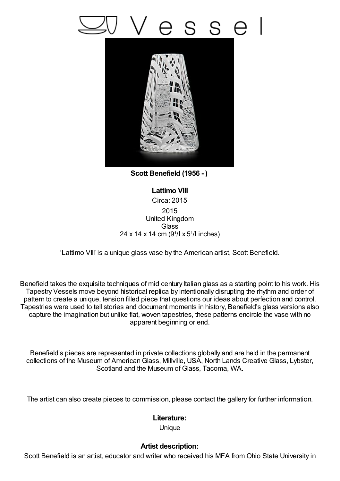## s s e



**Scott Benefield (1956 - )**

**Lattimo VIII** Circa: 2015 2015 United Kingdom **Glass**  $24 \times 14 \times 14$  cm (9<sup>1</sup>/ $\sqrt{1 \times 5^1}$  inches)

'Lattimo VIII' is a unique glass vase by the American artist, Scott Benefield.

Benefield takes the exquisite techniques of mid century Italian glass as a starting point to his work. His Tapestry Vessels move beyond historical replica by intentionally disrupting the rhythm and order of pattern to create a unique, tension filled piece that questions our ideas about perfection and control. Tapestries were used to tell stories and document moments in history, Benefield's glass versions also capture the imagination but unlike flat, woven tapestries, these patterns encircle the vase with no apparent beginning or end.

Benefield's pieces are represented in private collections globally and are held in the permanent collections of the Museum of American Glass, Millville, USA, North Lands Creative Glass, Lybster, Scotland and the Museum of Glass, Tacoma, WA.

The artist can also create pieces to commission, please contact the gallery for further information.

## **Literature:**

Unique

## **Artist description:**

Scott Benefield is an artist, educator and writer who received his MFA from Ohio State University in